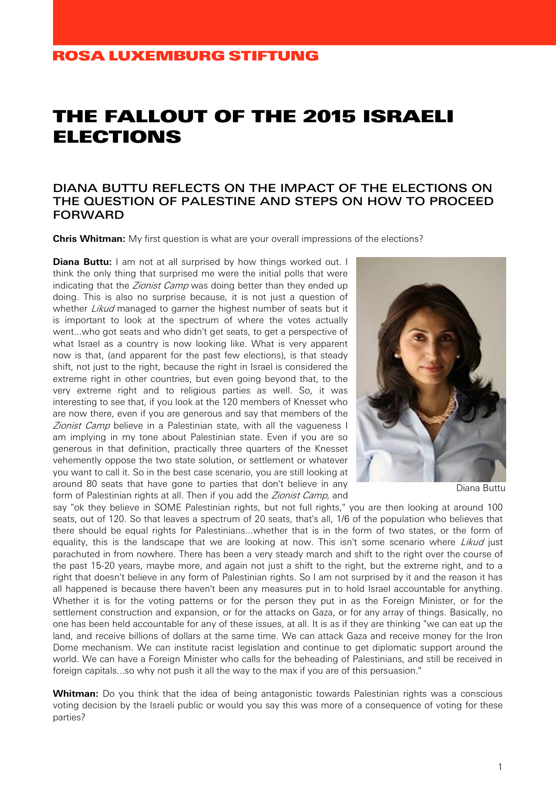## THE FALLOUT OF THE 2015 ISRAELI ELECTIONS

## DIANA BUTTU REFLECTS ON THE IMPACT OF THE ELECTIONS ON THE QUESTION OF PALESTINE AND STEPS ON HOW TO PROCEED FORWARD

**Chris Whitman:** My first question is what are your overall impressions of the elections?

**Diana Buttu:** I am not at all surprised by how things worked out. I think the only thing that surprised me were the initial polls that were indicating that the Zionist Camp was doing better than they ended up doing. This is also no surprise because, it is not just a question of whether *Likud* managed to garner the highest number of seats but it is important to look at the spectrum of where the votes actually went...who got seats and who didn't get seats, to get a perspective of what Israel as a country is now looking like. What is very apparent now is that, (and apparent for the past few elections), is that steady shift, not just to the right, because the right in Israel is considered the extreme right in other countries, but even going beyond that, to the very extreme right and to religious parties as well. So, it was interesting to see that, if you look at the 120 members of Knesset who are now there, even if you are generous and say that members of the Zionist Camp believe in a Palestinian state, with all the vagueness I am implying in my tone about Palestinian state. Even if you are so generous in that definition, practically three quarters of the Knesset vehemently oppose the two state solution, or settlement or whatever you want to call it. So in the best case scenario, you are still looking at around 80 seats that have gone to parties that don't believe in any form of Palestinian rights at all. Then if you add the Zionist Camp, and



Diana Buttu

say "ok they believe in SOME Palestinian rights, but not full rights," you are then looking at around 100 seats, out of 120. So that leaves a spectrum of 20 seats, that's all, 1/6 of the population who believes that there should be equal rights for Palestinians...whether that is in the form of two states, or the form of equality, this is the landscape that we are looking at now. This isn't some scenario where Likud just parachuted in from nowhere. There has been a very steady march and shift to the right over the course of the past 15-20 years, maybe more, and again not just a shift to the right, but the extreme right, and to a right that doesn't believe in any form of Palestinian rights. So I am not surprised by it and the reason it has all happened is because there haven't been any measures put in to hold Israel accountable for anything. Whether it is for the voting patterns or for the person they put in as the Foreign Minister, or for the settlement construction and expansion, or for the attacks on Gaza, or for any array of things. Basically, no one has been held accountable for any of these issues, at all. It is as if they are thinking "we can eat up the land, and receive billions of dollars at the same time. We can attack Gaza and receive money for the Iron Dome mechanism. We can institute racist legislation and continue to get diplomatic support around the world. We can have a Foreign Minister who calls for the beheading of Palestinians, and still be received in foreign capitals...so why not push it all the way to the max if you are of this persuasion."

**Whitman:** Do you think that the idea of being antagonistic towards Palestinian rights was a conscious voting decision by the Israeli public or would you say this was more of a consequence of voting for these parties?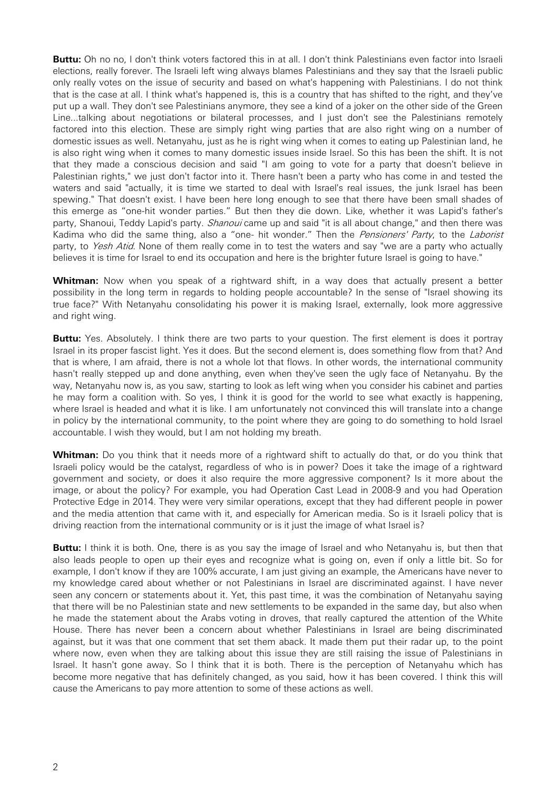**Buttu:** Oh no no, I don't think voters factored this in at all. I don't think Palestinians even factor into Israeli elections, really forever. The Israeli left wing always blames Palestinians and they say that the Israeli public only really votes on the issue of security and based on what's happening with Palestinians. I do not think that is the case at all. I think what's happened is, this is a country that has shifted to the right, and they've put up a wall. They don't see Palestinians anymore, they see a kind of a joker on the other side of the Green Line...talking about negotiations or bilateral processes, and I just don't see the Palestinians remotely factored into this election. These are simply right wing parties that are also right wing on a number of domestic issues as well. Netanyahu, just as he is right wing when it comes to eating up Palestinian land, he is also right wing when it comes to many domestic issues inside Israel. So this has been the shift. It is not that they made a conscious decision and said "I am going to vote for a party that doesn't believe in Palestinian rights," we just don't factor into it. There hasn't been a party who has come in and tested the waters and said "actually, it is time we started to deal with Israel's real issues, the junk Israel has been spewing." That doesn't exist. I have been here long enough to see that there have been small shades of this emerge as "one-hit wonder parties." But then they die down. Like, whether it was Lapid's father's party, Shanoui, Teddy Lapid's party. *Shanoui* came up and said "it is all about change," and then there was Kadima who did the same thing, also a "one- hit wonder." Then the Pensioners' Party, to the Laborist party, to Yesh Atid. None of them really come in to test the waters and say "we are a party who actually believes it is time for Israel to end its occupation and here is the brighter future Israel is going to have."

**Whitman:** Now when you speak of a rightward shift, in a way does that actually present a better possibility in the long term in regards to holding people accountable? In the sense of "Israel showing its true face?" With Netanyahu consolidating his power it is making Israel, externally, look more aggressive and right wing.

**Buttu:** Yes. Absolutely. I think there are two parts to your question. The first element is does it portray Israel in its proper fascist light. Yes it does. But the second element is, does something flow from that? And that is where, I am afraid, there is not a whole lot that flows. In other words, the international community hasn't really stepped up and done anything, even when they've seen the ugly face of Netanyahu. By the way, Netanyahu now is, as you saw, starting to look as left wing when you consider his cabinet and parties he may form a coalition with. So yes, I think it is good for the world to see what exactly is happening, where Israel is headed and what it is like. I am unfortunately not convinced this will translate into a change in policy by the international community, to the point where they are going to do something to hold Israel accountable. I wish they would, but I am not holding my breath.

**Whitman:** Do you think that it needs more of a rightward shift to actually do that, or do you think that Israeli policy would be the catalyst, regardless of who is in power? Does it take the image of a rightward government and society, or does it also require the more aggressive component? Is it more about the image, or about the policy? For example, you had Operation Cast Lead in 2008-9 and you had Operation Protective Edge in 2014. They were very similar operations, except that they had different people in power and the media attention that came with it, and especially for American media. So is it Israeli policy that is driving reaction from the international community or is it just the image of what Israel is?

**Buttu:** I think it is both. One, there is as you say the image of Israel and who Netanyahu is, but then that also leads people to open up their eyes and recognize what is going on, even if only a little bit. So for example, I don't know if they are 100% accurate, I am just giving an example, the Americans have never to my knowledge cared about whether or not Palestinians in Israel are discriminated against. I have never seen any concern or statements about it. Yet, this past time, it was the combination of Netanyahu saying that there will be no Palestinian state and new settlements to be expanded in the same day, but also when he made the statement about the Arabs voting in droves, that really captured the attention of the White House. There has never been a concern about whether Palestinians in Israel are being discriminated against, but it was that one comment that set them aback. It made them put their radar up, to the point where now, even when they are talking about this issue they are still raising the issue of Palestinians in Israel. It hasn't gone away. So I think that it is both. There is the perception of Netanyahu which has become more negative that has definitely changed, as you said, how it has been covered. I think this will cause the Americans to pay more attention to some of these actions as well.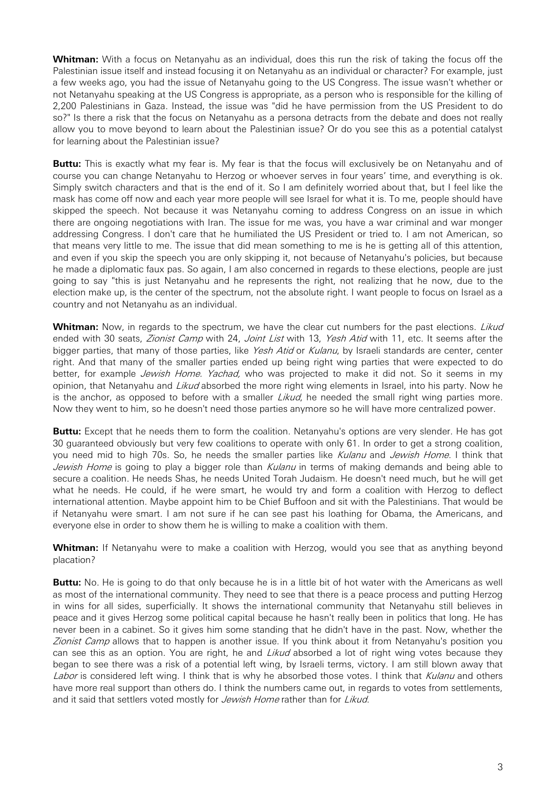**Whitman:** With a focus on Netanyahu as an individual, does this run the risk of taking the focus off the Palestinian issue itself and instead focusing it on Netanyahu as an individual or character? For example, just a few weeks ago, you had the issue of Netanyahu going to the US Congress. The issue wasn't whether or not Netanyahu speaking at the US Congress is appropriate, as a person who is responsible for the killing of 2,200 Palestinians in Gaza. Instead, the issue was "did he have permission from the US President to do so?" Is there a risk that the focus on Netanyahu as a persona detracts from the debate and does not really allow you to move beyond to learn about the Palestinian issue? Or do you see this as a potential catalyst for learning about the Palestinian issue?

**Buttu:** This is exactly what my fear is. My fear is that the focus will exclusively be on Netanyahu and of course you can change Netanyahu to Herzog or whoever serves in four years' time, and everything is ok. Simply switch characters and that is the end of it. So I am definitely worried about that, but I feel like the mask has come off now and each year more people will see Israel for what it is. To me, people should have skipped the speech. Not because it was Netanyahu coming to address Congress on an issue in which there are ongoing negotiations with Iran. The issue for me was, you have a war criminal and war monger addressing Congress. I don't care that he humiliated the US President or tried to. I am not American, so that means very little to me. The issue that did mean something to me is he is getting all of this attention, and even if you skip the speech you are only skipping it, not because of Netanyahu's policies, but because he made a diplomatic faux pas. So again, I am also concerned in regards to these elections, people are just going to say "this is just Netanyahu and he represents the right, not realizing that he now, due to the election make up, is the center of the spectrum, not the absolute right. I want people to focus on Israel as a country and not Netanyahu as an individual.

Whitman: Now, in regards to the spectrum, we have the clear cut numbers for the past elections. Likud ended with 30 seats, Zionist Camp with 24, Joint List with 13, Yesh Atid with 11, etc. It seems after the bigger parties, that many of those parties, like Yesh Atid or Kulanu, by Israeli standards are center, center right. And that many of the smaller parties ended up being right wing parties that were expected to do better, for example *Jewish Home. Yachad*, who was projected to make it did not. So it seems in my opinion, that Netanyahu and *Likud* absorbed the more right wing elements in Israel, into his party. Now he is the anchor, as opposed to before with a smaller Likud, he needed the small right wing parties more. Now they went to him, so he doesn't need those parties anymore so he will have more centralized power.

**Buttu:** Except that he needs them to form the coalition. Netanyahu's options are very slender. He has got 30 guaranteed obviously but very few coalitions to operate with only 61. In order to get a strong coalition, you need mid to high 70s. So, he needs the smaller parties like Kulanu and Jewish Home. I think that Jewish Home is going to play a bigger role than Kulanu in terms of making demands and being able to secure a coalition. He needs Shas, he needs United Torah Judaism. He doesn't need much, but he will get what he needs. He could, if he were smart, he would try and form a coalition with Herzog to deflect international attention. Maybe appoint him to be Chief Buffoon and sit with the Palestinians. That would be if Netanyahu were smart. I am not sure if he can see past his loathing for Obama, the Americans, and everyone else in order to show them he is willing to make a coalition with them.

**Whitman:** If Netanyahu were to make a coalition with Herzog, would you see that as anything beyond placation?

**Buttu:** No. He is going to do that only because he is in a little bit of hot water with the Americans as well as most of the international community. They need to see that there is a peace process and putting Herzog in wins for all sides, superficially. It shows the international community that Netanyahu still believes in peace and it gives Herzog some political capital because he hasn't really been in politics that long. He has never been in a cabinet. So it gives him some standing that he didn't have in the past. Now, whether the Zionist Camp allows that to happen is another issue. If you think about it from Netanyahu's position you can see this as an option. You are right, he and *Likud* absorbed a lot of right wing votes because they began to see there was a risk of a potential left wing, by Israeli terms, victory. I am still blown away that Labor is considered left wing. I think that is why he absorbed those votes. I think that Kulanu and others have more real support than others do. I think the numbers came out, in regards to votes from settlements, and it said that settlers voted mostly for Jewish Home rather than for Likud.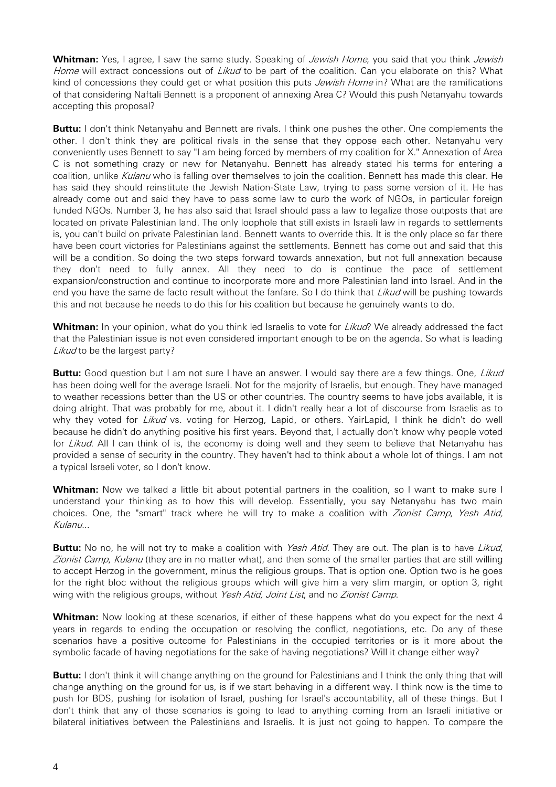**Whitman:** Yes, I agree, I saw the same study. Speaking of *Jewish Home*, you said that you think *Jewish* Home will extract concessions out of Likud to be part of the coalition. Can you elaborate on this? What kind of concessions they could get or what position this puts *Jewish Home* in? What are the ramifications of that considering Naftali Bennett is a proponent of annexing Area C? Would this push Netanyahu towards accepting this proposal?

**Buttu:** I don't think Netanyahu and Bennett are rivals. I think one pushes the other. One complements the other. I don't think they are political rivals in the sense that they oppose each other. Netanyahu very conveniently uses Bennett to say "I am being forced by members of my coalition for X." Annexation of Area C is not something crazy or new for Netanyahu. Bennett has already stated his terms for entering a coalition, unlike Kulanu who is falling over themselves to join the coalition. Bennett has made this clear. He has said they should reinstitute the Jewish Nation-State Law, trying to pass some version of it. He has already come out and said they have to pass some law to curb the work of NGOs, in particular foreign funded NGOs. Number 3, he has also said that Israel should pass a law to legalize those outposts that are located on private Palestinian land. The only loophole that still exists in Israeli law in regards to settlements is, you can't build on private Palestinian land. Bennett wants to override this. It is the only place so far there have been court victories for Palestinians against the settlements. Bennett has come out and said that this will be a condition. So doing the two steps forward towards annexation, but not full annexation because they don't need to fully annex. All they need to do is continue the pace of settlement expansion/construction and continue to incorporate more and more Palestinian land into Israel. And in the end you have the same de facto result without the fanfare. So I do think that Likud will be pushing towards this and not because he needs to do this for his coalition but because he genuinely wants to do.

**Whitman:** In your opinion, what do you think led Israelis to vote for *Likud*? We already addressed the fact that the Palestinian issue is not even considered important enough to be on the agenda. So what is leading Likud to be the largest party?

**Buttu:** Good question but I am not sure I have an answer. I would say there are a few things. One, Likud has been doing well for the average Israeli. Not for the majority of Israelis, but enough. They have managed to weather recessions better than the US or other countries. The country seems to have jobs available, it is doing alright. That was probably for me, about it. I didn't really hear a lot of discourse from Israelis as to why they voted for Likud vs. voting for Herzog, Lapid, or others. YairLapid, I think he didn't do well because he didn't do anything positive his first years. Beyond that, I actually don't know why people voted for Likud. All I can think of is, the economy is doing well and they seem to believe that Netanyahu has provided a sense of security in the country. They haven't had to think about a whole lot of things. I am not a typical Israeli voter, so I don't know.

**Whitman:** Now we talked a little bit about potential partners in the coalition, so I want to make sure I understand your thinking as to how this will develop. Essentially, you say Netanyahu has two main choices. One, the "smart" track where he will try to make a coalition with Zionist Camp, Yesh Atid, Kulanu...

**Buttu:** No no, he will not try to make a coalition with Yesh Atid. They are out. The plan is to have Likud, Zionist Camp, Kulanu (they are in no matter what), and then some of the smaller parties that are still willing to accept Herzog in the government, minus the religious groups. That is option one. Option two is he goes for the right bloc without the religious groups which will give him a very slim margin, or option 3, right wing with the religious groups, without Yesh Atid, Joint List, and no Zionist Camp.

**Whitman:** Now looking at these scenarios, if either of these happens what do you expect for the next 4 years in regards to ending the occupation or resolving the conflict, negotiations, etc. Do any of these scenarios have a positive outcome for Palestinians in the occupied territories or is it more about the symbolic facade of having negotiations for the sake of having negotiations? Will it change either way?

**Buttu:** I don't think it will change anything on the ground for Palestinians and I think the only thing that will change anything on the ground for us, is if we start behaving in a different way. I think now is the time to push for BDS, pushing for isolation of Israel, pushing for Israel's accountability, all of these things. But I don't think that any of those scenarios is going to lead to anything coming from an Israeli initiative or bilateral initiatives between the Palestinians and Israelis. It is just not going to happen. To compare the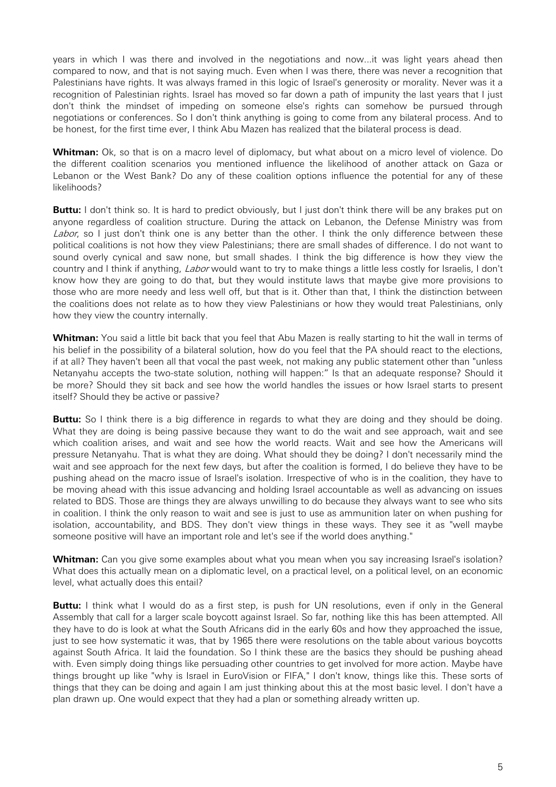years in which I was there and involved in the negotiations and now...it was light years ahead then compared to now, and that is not saying much. Even when I was there, there was never a recognition that Palestinians have rights. It was always framed in this logic of Israel's generosity or morality. Never was it a recognition of Palestinian rights. Israel has moved so far down a path of impunity the last years that I just don't think the mindset of impeding on someone else's rights can somehow be pursued through negotiations or conferences. So I don't think anything is going to come from any bilateral process. And to be honest, for the first time ever, I think Abu Mazen has realized that the bilateral process is dead.

**Whitman:** Ok, so that is on a macro level of diplomacy, but what about on a micro level of violence. Do the different coalition scenarios you mentioned influence the likelihood of another attack on Gaza or Lebanon or the West Bank? Do any of these coalition options influence the potential for any of these likelihoods?

**Buttu:** I don't think so. It is hard to predict obviously, but I just don't think there will be any brakes put on anyone regardless of coalition structure. During the attack on Lebanon, the Defense Ministry was from Labor, so I just don't think one is any better than the other. I think the only difference between these political coalitions is not how they view Palestinians; there are small shades of difference. I do not want to sound overly cynical and saw none, but small shades. I think the big difference is how they view the country and I think if anything, Labor would want to try to make things a little less costly for Israelis, I don't know how they are going to do that, but they would institute laws that maybe give more provisions to those who are more needy and less well off, but that is it. Other than that, I think the distinction between the coalitions does not relate as to how they view Palestinians or how they would treat Palestinians, only how they view the country internally.

**Whitman:** You said a little bit back that you feel that Abu Mazen is really starting to hit the wall in terms of his belief in the possibility of a bilateral solution, how do you feel that the PA should react to the elections, if at all? They haven't been all that vocal the past week, not making any public statement other than "unless Netanyahu accepts the two-state solution, nothing will happen:" Is that an adequate response? Should it be more? Should they sit back and see how the world handles the issues or how Israel starts to present itself? Should they be active or passive?

**Buttu:** So I think there is a big difference in regards to what they are doing and they should be doing. What they are doing is being passive because they want to do the wait and see approach, wait and see which coalition arises, and wait and see how the world reacts. Wait and see how the Americans will pressure Netanyahu. That is what they are doing. What should they be doing? I don't necessarily mind the wait and see approach for the next few days, but after the coalition is formed, I do believe they have to be pushing ahead on the macro issue of Israel's isolation. Irrespective of who is in the coalition, they have to be moving ahead with this issue advancing and holding Israel accountable as well as advancing on issues related to BDS. Those are things they are always unwilling to do because they always want to see who sits in coalition. I think the only reason to wait and see is just to use as ammunition later on when pushing for isolation, accountability, and BDS. They don't view things in these ways. They see it as "well maybe someone positive will have an important role and let's see if the world does anything."

Whitman: Can you give some examples about what you mean when you say increasing Israel's isolation? What does this actually mean on a diplomatic level, on a practical level, on a political level, on an economic level, what actually does this entail?

**Buttu:** I think what I would do as a first step, is push for UN resolutions, even if only in the General Assembly that call for a larger scale boycott against Israel. So far, nothing like this has been attempted. All they have to do is look at what the South Africans did in the early 60s and how they approached the issue, just to see how systematic it was, that by 1965 there were resolutions on the table about various boycotts against South Africa. It laid the foundation. So I think these are the basics they should be pushing ahead with. Even simply doing things like persuading other countries to get involved for more action. Maybe have things brought up like "why is Israel in EuroVision or FIFA," I don't know, things like this. These sorts of things that they can be doing and again I am just thinking about this at the most basic level. I don't have a plan drawn up. One would expect that they had a plan or something already written up.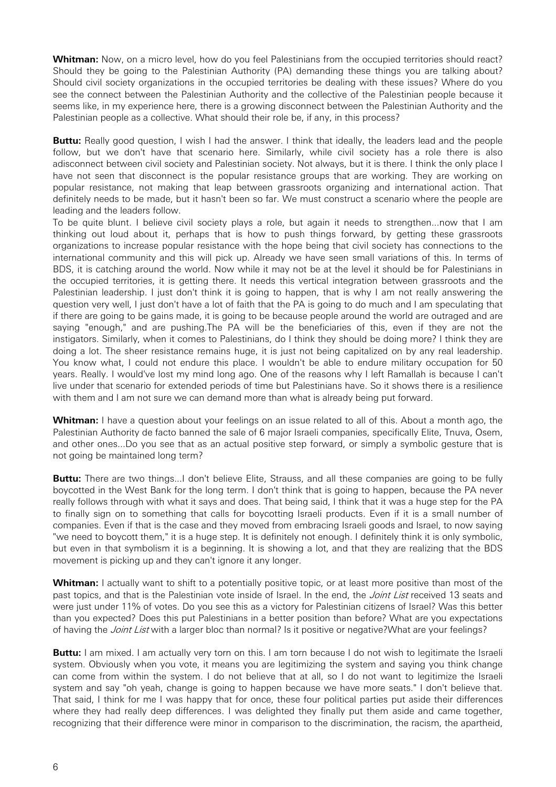**Whitman:** Now, on a micro level, how do you feel Palestinians from the occupied territories should react? Should they be going to the Palestinian Authority (PA) demanding these things you are talking about? Should civil society organizations in the occupied territories be dealing with these issues? Where do you see the connect between the Palestinian Authority and the collective of the Palestinian people because it seems like, in my experience here, there is a growing disconnect between the Palestinian Authority and the Palestinian people as a collective. What should their role be, if any, in this process?

**Buttu:** Really good question, I wish I had the answer. I think that ideally, the leaders lead and the people follow, but we don't have that scenario here. Similarly, while civil society has a role there is also adisconnect between civil society and Palestinian society. Not always, but it is there. I think the only place I have not seen that disconnect is the popular resistance groups that are working. They are working on popular resistance, not making that leap between grassroots organizing and international action. That definitely needs to be made, but it hasn't been so far. We must construct a scenario where the people are leading and the leaders follow.

To be quite blunt. I believe civil society plays a role, but again it needs to strengthen...now that I am thinking out loud about it, perhaps that is how to push things forward, by getting these grassroots organizations to increase popular resistance with the hope being that civil society has connections to the international community and this will pick up. Already we have seen small variations of this. In terms of BDS, it is catching around the world. Now while it may not be at the level it should be for Palestinians in the occupied territories, it is getting there. It needs this vertical integration between grassroots and the Palestinian leadership. I just don't think it is going to happen, that is why I am not really answering the question very well, I just don't have a lot of faith that the PA is going to do much and I am speculating that if there are going to be gains made, it is going to be because people around the world are outraged and are saying "enough," and are pushing.The PA will be the beneficiaries of this, even if they are not the instigators. Similarly, when it comes to Palestinians, do I think they should be doing more? I think they are doing a lot. The sheer resistance remains huge, it is just not being capitalized on by any real leadership. You know what, I could not endure this place. I wouldn't be able to endure military occupation for 50 years. Really. I would've lost my mind long ago. One of the reasons why I left Ramallah is because I can't live under that scenario for extended periods of time but Palestinians have. So it shows there is a resilience with them and I am not sure we can demand more than what is already being put forward.

**Whitman:** I have a question about your feelings on an issue related to all of this. About a month ago, the Palestinian Authority de facto banned the sale of 6 major Israeli companies, specifically Elite, Tnuva, Osem, and other ones...Do you see that as an actual positive step forward, or simply a symbolic gesture that is not going be maintained long term?

**Buttu:** There are two things...I don't believe Elite, Strauss, and all these companies are going to be fully boycotted in the West Bank for the long term. I don't think that is going to happen, because the PA never really follows through with what it says and does. That being said, I think that it was a huge step for the PA to finally sign on to something that calls for boycotting Israeli products. Even if it is a small number of companies. Even if that is the case and they moved from embracing Israeli goods and Israel, to now saying "we need to boycott them," it is a huge step. It is definitely not enough. I definitely think it is only symbolic, but even in that symbolism it is a beginning. It is showing a lot, and that they are realizing that the BDS movement is picking up and they can't ignore it any longer.

**Whitman:** I actually want to shift to a potentially positive topic, or at least more positive than most of the past topics, and that is the Palestinian vote inside of Israel. In the end, the Joint List received 13 seats and were just under 11% of votes. Do you see this as a victory for Palestinian citizens of Israel? Was this better than you expected? Does this put Palestinians in a better position than before? What are you expectations of having the *Joint List* with a larger bloc than normal? Is it positive or negative?What are your feelings?

**Buttu:** I am mixed. I am actually very torn on this. I am torn because I do not wish to legitimate the Israeli system. Obviously when you vote, it means you are legitimizing the system and saying you think change can come from within the system. I do not believe that at all, so I do not want to legitimize the Israeli system and say "oh yeah, change is going to happen because we have more seats." I don't believe that. That said, I think for me I was happy that for once, these four political parties put aside their differences where they had really deep differences. I was delighted they finally put them aside and came together, recognizing that their difference were minor in comparison to the discrimination, the racism, the apartheid,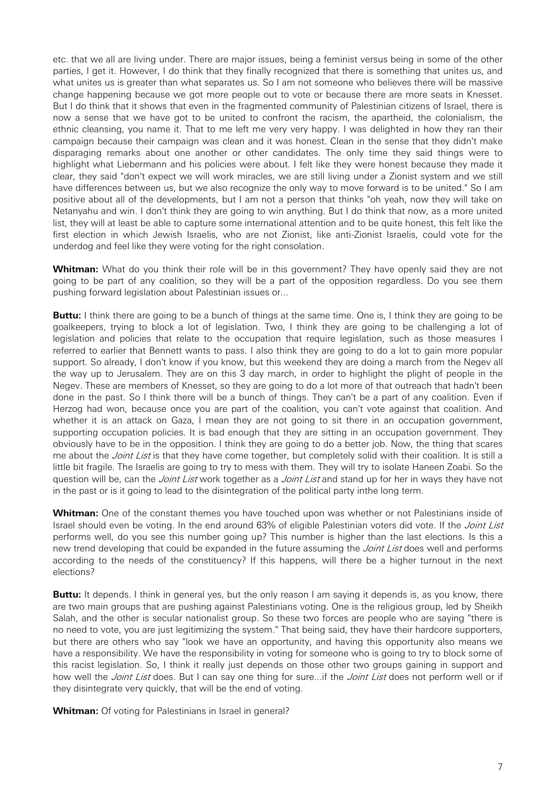etc. that we all are living under. There are major issues, being a feminist versus being in some of the other parties, I get it. However, I do think that they finally recognized that there is something that unites us, and what unites us is greater than what separates us. So I am not someone who believes there will be massive change happening because we got more people out to vote or because there are more seats in Knesset. But I do think that it shows that even in the fragmented community of Palestinian citizens of Israel, there is now a sense that we have got to be united to confront the racism, the apartheid, the colonialism, the ethnic cleansing, you name it. That to me left me very very happy. I was delighted in how they ran their campaign because their campaign was clean and it was honest. Clean in the sense that they didn't make disparaging remarks about one another or other candidates. The only time they said things were to highlight what Liebermann and his policies were about. I felt like they were honest because they made it clear, they said "don't expect we will work miracles, we are still living under a Zionist system and we still have differences between us, but we also recognize the only way to move forward is to be united." So I am positive about all of the developments, but I am not a person that thinks "oh yeah, now they will take on Netanyahu and win. I don't think they are going to win anything. But I do think that now, as a more united list, they will at least be able to capture some international attention and to be quite honest, this felt like the first election in which Jewish Israelis, who are not Zionist, like anti-Zionist Israelis, could vote for the underdog and feel like they were voting for the right consolation.

**Whitman:** What do you think their role will be in this government? They have openly said they are not going to be part of any coalition, so they will be a part of the opposition regardless. Do you see them pushing forward legislation about Palestinian issues or...

**Buttu:** I think there are going to be a bunch of things at the same time. One is, I think they are going to be goalkeepers, trying to block a lot of legislation. Two, I think they are going to be challenging a lot of legislation and policies that relate to the occupation that require legislation, such as those measures I referred to earlier that Bennett wants to pass. I also think they are going to do a lot to gain more popular support. So already, I don't know if you know, but this weekend they are doing a march from the Negev all the way up to Jerusalem. They are on this 3 day march, in order to highlight the plight of people in the Negev. These are members of Knesset, so they are going to do a lot more of that outreach that hadn't been done in the past. So I think there will be a bunch of things. They can't be a part of any coalition. Even if Herzog had won, because once you are part of the coalition, you can't vote against that coalition. And whether it is an attack on Gaza, I mean they are not going to sit there in an occupation government, supporting occupation policies. It is bad enough that they are sitting in an occupation government. They obviously have to be in the opposition. I think they are going to do a better job. Now, the thing that scares me about the *Joint List* is that they have come together, but completely solid with their coalition. It is still a little bit fragile. The Israelis are going to try to mess with them. They will try to isolate Haneen Zoabi. So the question will be, can the *Joint List* work together as a *Joint List* and stand up for her in ways they have not in the past or is it going to lead to the disintegration of the political party inthe long term.

**Whitman:** One of the constant themes you have touched upon was whether or not Palestinians inside of Israel should even be voting. In the end around 63% of eligible Palestinian voters did vote. If the Joint List performs well, do you see this number going up? This number is higher than the last elections. Is this a new trend developing that could be expanded in the future assuming the *Joint List* does well and performs according to the needs of the constituency? If this happens, will there be a higher turnout in the next elections?

**Buttu:** It depends. I think in general yes, but the only reason I am saying it depends is, as you know, there are two main groups that are pushing against Palestinians voting. One is the religious group, led by Sheikh Salah, and the other is secular nationalist group. So these two forces are people who are saying "there is no need to vote, you are just legitimizing the system." That being said, they have their hardcore supporters, but there are others who say "look we have an opportunity, and having this opportunity also means we have a responsibility. We have the responsibility in voting for someone who is going to try to block some of this racist legislation. So, I think it really just depends on those other two groups gaining in support and how well the *Joint List* does. But I can say one thing for sure...if the *Joint List* does not perform well or if they disintegrate very quickly, that will be the end of voting.

**Whitman:** Of voting for Palestinians in Israel in general?